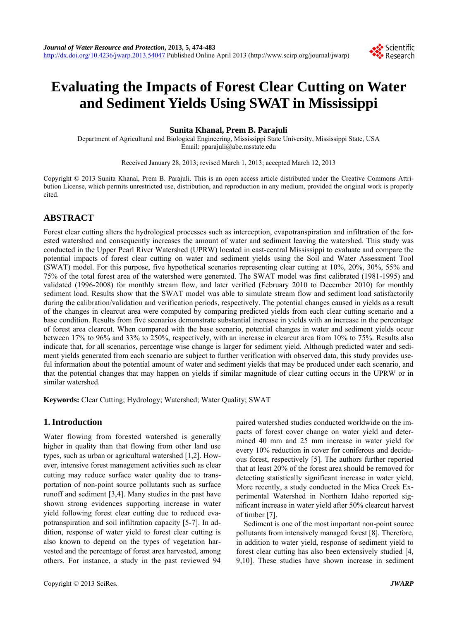# <span id="page-0-0"></span>**Evaluating the Impacts of Forest Clear Cutting on Water and Sediment Yields Using SWAT in Mississippi**

#### **Sunita Khanal, Prem B. Parajuli**

Department of Agricultural and Biological Engineering, Mississippi State University, Mississippi State, USA Email: pparajuli@abe.msstate.edu

Received January 28, 2013; revised March 1, 2013; accepted March 12, 2013

Copyright © 2013 Sunita Khanal, Prem B. Parajuli. This is an open access article distributed under the Creative Commons Attribution License, which permits unrestricted use, distribution, and reproduction in any medium, provided the original work is properly cited.

## **ABSTRACT**

Forest clear cutting alters the hydrological processes such as interception, evapotranspiration and infiltration of the forested watershed and consequently increases the amount of water and sediment leaving the watershed. This study was conducted in the Upper Pearl River Watershed (UPRW) located in east-central Mississippi to evaluate and compare the potential impacts of forest clear cutting on water and sediment yields using the Soil and Water Assessment Tool (SWAT) model. For this purpose, five hypothetical scenarios representing clear cutting at 10%, 20%, 30%, 55% and 75% of the total forest area of the watershed were generated. The SWAT model was first calibrated (1981-1995) and validated (1996-2008) for monthly stream flow, and later verified (February 2010 to December 2010) for monthly sediment load. Results show that the SWAT model was able to simulate stream flow and sediment load satisfactorily during the calibration/validation and verification periods, respectively. The potential changes caused in yields as a result of the changes in clearcut area were computed by comparing predicted yields from each clear cutting scenario and a base condition. Results from five scenarios demonstrate substantial increase in yields with an increase in the percentage of forest area clearcut. When compared with the base scenario, potential changes in water and sediment yields occur between 17% to 96% and 33% to 250%, respectively, with an increase in clearcut area from 10% to 75%. Results also indicate that, for all scenarios, percentage wise change is larger for sediment yield. Although predicted water and sediment yields generated from each scenario are subject to further verification with observed data, this study provides useful information about the potential amount of water and sediment yields that may be produced under each scenario, and that the potential changes that may happen on yields if similar magnitude of clear cutting occurs in the UPRW or in similar watershed.

**Keywords:** Clear Cutting; Hydrology; Watershed; Water Quality; SWAT

#### **1. Introduction**

Water flowing from forested watershed is generally higher in quality than that flowing from other land use types, such as urban or agricultural watershed [1,2]. However, intensive forest management activities such as clear cutting may reduce surface water quality due to transportation of non-point source pollutants such as surface runoff and sediment [3,4]. Many studies in the past have shown strong evidences supporting increase in water yield following forest clear cutting due to reduced evapotranspiration and soil infiltration capacity [5-7]. In addition, response of water yield to forest clear cutting is also known to depend on the types of vegetation harvested and the percentage of forest area harvested, among others. For instance, a study in the past reviewed 94

paired watershed studies conducted worldwide on the impacts of forest cover change on water yield and determined 40 mm and 25 mm increase in water yield for every 10% reduction in cover for coniferous and deciduous forest, respectively [5]. The authors further reported that at least 20% of the forest area should be removed for detecting statistically significant increase in water yield. More recently, a study conducted in the Mica Creek Experimental Watershed in Northern Idaho reported significant increase in water yield after 50% clearcut harvest of timber [7].

Sediment is one of the most important non-point source pollutants from intensively managed forest [8]. Therefore, in addition to water yield, response of sediment yield to forest clear cutting has also been extensively studied [4, 9,10]. These studies have shown increase in sediment

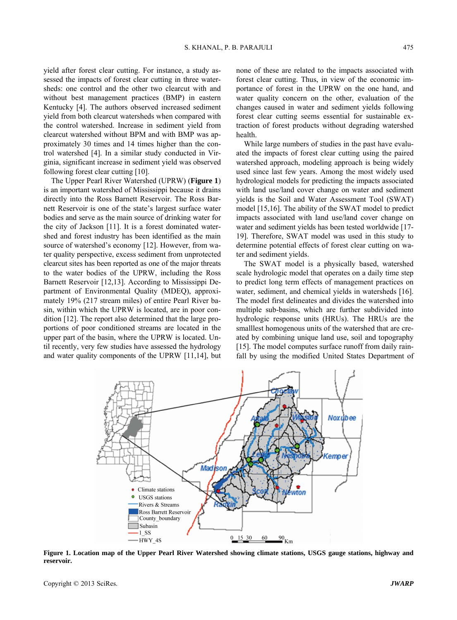yield after forest clear cutting. For instance, a study assessed the impacts of forest clear cutting in three watersheds: one control and the other two clearcut with and without best management practices (BMP) in eastern Kentucky [4]. The authors observed increased sediment yield from both clearcut watersheds when compared with the control watershed. Increase in sediment yield from clearcut watershed without BPM and with BMP was approximately 30 times and 14 times higher than the control watershed [4]. In a similar study conducted in Virginia, significant increase in sediment yield was observed following forest clear cutting [10].

The Upper Pearl River Watershed (UPRW) (**Figure 1**) is an important watershed of Mississippi because it drains directly into the Ross Barnett Reservoir. The Ross Barnett Reservoir is one of the state's largest surface water bodies and serve as the main source of drinking water for the city of Jackson [11]. It is a forest dominated watershed and forest industry has been identified as the main source of watershed's economy [12]. However, from water quality perspective, excess sediment from unprotected clearcut sites has been reported as one of the major threats to the water bodies of the UPRW, including the Ross Barnett Reservoir [12,13]. According to Mississippi Department of Environmental Quality (MDEQ), approximately 19% (217 stream miles) of entire Pearl River basin, within which the UPRW is located, are in poor condition [12]. The report also determined that the large proportions of poor conditioned streams are located in the upper part of the basin, where the UPRW is located. Until recently, very few studies have assessed the hydrology and water quality components of the UPRW [11,14], but none of these are related to the impacts associated with forest clear cutting. Thus, in view of the economic importance of forest in the UPRW on the one hand, and water quality concern on the other, evaluation of the changes caused in water and sediment yields following forest clear cutting seems essential for sustainable extraction of forest products without degrading watershed health.

While large numbers of studies in the past have evaluated the impacts of forest clear cutting using the paired watershed approach, modeling approach is being widely used since last few years. Among the most widely used hydrological models for predicting the impacts associated with land use/land cover change on water and sediment yields is the Soil and Water Assessment Tool (SWAT) model [15,16]. The ability of the SWAT model to predict impacts associated with land use/land cover change on water and sediment yields has been tested worldwide [17- 19]. Therefore, SWAT model was used in this study to determine potential effects of forest clear cutting on water and sediment yields.

The SWAT model is a physically based, watershed scale hydrologic model that operates on a daily time step to predict long term effects of management practices on water, sediment, and chemical yields in watersheds [16]. The model first delineates and divides the watershed into multiple sub-basins, which are further subdivided into hydrologic response units (HRUs). The HRUs are the smalllest homogenous units of the watershed that are created by combining unique land use, soil and topography [15]. The model computes surface runoff from daily rainfall by using the modified United States Department of



**Figure 1. Location map of the Upper Pearl River Watershed showing climate stations, USGS gauge stations, highway and reservoir.**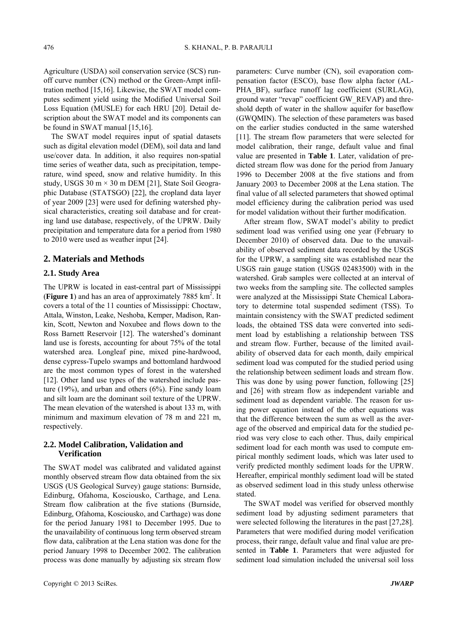Agriculture (USDA) soil conservation service (SCS) runoff curve number (CN) method or the Green-Ampt infiltration method [15,16]. Likewise, the SWAT model computes sediment yield using the Modified Universal Soil Loss Equation (MUSLE) for each HRU [20]. Detail description about the SWAT model and its components can be found in SWAT manual [15,16].

The SWAT model requires input of spatial datasets such as digital elevation model (DEM), soil data and land use/cover data. In addition, it also requires non-spatial time series of weather data, such as precipitation, temperature, wind speed, snow and relative humidity. In this study, USGS 30 m  $\times$  30 m DEM [21], State Soil Geographic Database (STATSGO) [22], the cropland data layer of year 2009 [23] were used for defining watershed physical characteristics, creating soil database and for creating land use database, respectively, of the UPRW. Daily precipitation and temperature data for a period from 1980 to 2010 were used as weather input [24].

#### **2. Materials and Methods**

#### **2.1. Study Area**

The UPRW is located in east-central part of Mississippi (**Figure 1**) and has an area of approximately 7885  $km^2$ . It covers a total of the 11 counties of Mississippi: Choctaw, Attala, Winston, Leake, Neshoba, Kemper, Madison, Rankin, Scott, Newton and Noxubee and flows down to the Ross Barnett Reservoir [12]. The watershed's dominant land use is forests, accounting for about 75% of the total watershed area. Longleaf pine, mixed pine-hardwood, dense cypress-Tupelo swamps and bottomland hardwood are the most common types of forest in the watershed [12]. Other land use types of the watershed include pasture (19%), and urban and others (6%). Fine sandy loam and silt loam are the dominant soil texture of the UPRW. The mean elevation of the watershed is about 133 m, with minimum and maximum elevation of 78 m and 221 m, respectively.

#### **2.2. Model Calibration, Validation and Verification**

The SWAT model was calibrated and validated against monthly observed stream flow data obtained from the six USGS (US Geological Survey) gauge stations: Burnside, Edinburg, Ofahoma, Kosciousko, Carthage, and Lena. Stream flow calibration at the five stations (Burnside, Edinburg, Ofahoma, Kosciousko, and Carthage) was done for the period January 1981 to December 1995. Due to the unavailability of continuous long term observed stream flow data, calibration at the Lena station was done for the period January 1998 to December 2002. The calibration process was done manually by adjusting six stream flow

parameters: Curve number (CN), soil evaporation compensation factor (ESCO), base flow alpha factor (AL-PHA\_BF), surface runoff lag coefficient (SURLAG), ground water "revap" coefficient GW\_REVAP) and threshold depth of water in the shallow aquifer for baseflow (GWQMIN). The selection of these parameters was based on the earlier studies conducted in the same watershed [11]. The stream flow parameters that were selected for model calibration, their range, default value and final value are presented in **Table 1**. Later, validation of predicted stream flow was done for the period from January 1996 to December 2008 at the five stations and from January 2003 to December 2008 at the Lena station. The final value of all selected parameters that showed optimal model efficiency during the calibration period was used for model validation without their further modification.

After stream flow, SWAT model's ability to predict sediment load was verified using one year (February to December 2010) of observed data. Due to the unavailability of observed sediment data recorded by the USGS for the UPRW, a sampling site was established near the USGS rain gauge station (USGS 02483500) with in the watershed. Grab samples were collected at an interval of two weeks from the sampling site. The collected samples were analyzed at the Mississippi State Chemical Laboratory to determine total suspended sediment (TSS). To maintain consistency with the SWAT predicted sediment loads, the obtained TSS data were converted into sediment load by establishing a relationship between TSS and stream flow. Further, because of the limited availability of observed data for each month, daily empirical sediment load was computed for the studied period using the relationship between sediment loads and stream flow. This was done by using power function, following [25] and [26] with stream flow as independent variable and sediment load as dependent variable. The reason for using power equation instead of the other equations was that the difference between the sum as well as the average of the observed and empirical data for the studied period was very close to each other. Thus, daily empirical sediment load for each month was used to compute empirical monthly sediment loads, which was later used to verify predicted monthly sediment loads for the UPRW. Hereafter, empirical monthly sediment load will be stated as observed sediment load in this study unless otherwise stated.

The SWAT model was verified for observed monthly sediment load by adjusting sediment parameters that were selected following the literatures in the past [27,28]. Parameters that were modified during model verification process, their range, default value and final value are presented in **Table 1**. Parameters that were adjusted for sediment load simulation included the universal soil loss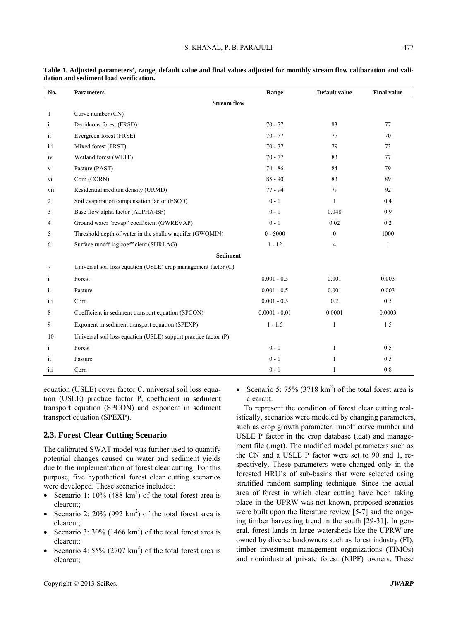| No.                     | <b>Parameters</b>                                                | Range           | Default value  | <b>Final value</b> |  |  |  |  |
|-------------------------|------------------------------------------------------------------|-----------------|----------------|--------------------|--|--|--|--|
| <b>Stream flow</b>      |                                                                  |                 |                |                    |  |  |  |  |
| 1                       | Curve number (CN)                                                |                 |                |                    |  |  |  |  |
| $\mathbf{i}$            | Deciduous forest (FRSD)                                          | $70 - 77$       | 83             | 77                 |  |  |  |  |
| ii                      | Evergreen forest (FRSE)                                          | $70 - 77$       | 77             | 70                 |  |  |  |  |
| iii                     | Mixed forest (FRST)                                              | $70 - 77$       | 79             | 73                 |  |  |  |  |
| iv                      | Wetland forest (WETF)                                            | $70 - 77$       | 83             | 77                 |  |  |  |  |
| V                       | Pasture (PAST)                                                   | $74 - 86$       | 84             | 79                 |  |  |  |  |
| vi                      | Corn (CORN)                                                      | $85 - 90$       | 83             | 89                 |  |  |  |  |
| vii                     | Residential medium density (URMD)                                | $77 - 94$       | 79             | 92                 |  |  |  |  |
| 2                       | Soil evaporation compensation factor (ESCO)                      | $0 - 1$         | 1              | 0.4                |  |  |  |  |
| 3                       | Base flow alpha factor (ALPHA-BF)                                | $0 - 1$         | 0.048          | 0.9                |  |  |  |  |
| 4                       | Ground water "revap" coefficient (GWREVAP)                       | $0 - 1$         | 0.02           | 0.2                |  |  |  |  |
| 5                       | Threshold depth of water in the shallow aquifer (GWQMIN)         | $0 - 5000$      | $\mathbf{0}$   | 1000               |  |  |  |  |
| 6                       | Surface runoff lag coefficient (SURLAG)                          | $1 - 12$        | $\overline{4}$ | $\mathbf{1}$       |  |  |  |  |
|                         | <b>Sediment</b>                                                  |                 |                |                    |  |  |  |  |
| 7                       | Universal soil loss equation (USLE) crop management factor $(C)$ |                 |                |                    |  |  |  |  |
| $\mathbf{i}$            | Forest                                                           | $0.001 - 0.5$   | 0.001          | 0.003              |  |  |  |  |
| $\overline{\mathbf{1}}$ | Pasture                                                          | $0.001 - 0.5$   | 0.001          | 0.003              |  |  |  |  |
| iii                     | Corn                                                             | $0.001 - 0.5$   | 0.2            | 0.5                |  |  |  |  |
| 8                       | Coefficient in sediment transport equation (SPCON)               | $0.0001 - 0.01$ | 0.0001         | 0.0003             |  |  |  |  |
| 9                       | Exponent in sediment transport equation (SPEXP)                  | $1 - 1.5$       | $\mathbf{1}$   | 1.5                |  |  |  |  |
| 10                      | Universal soil loss equation (USLE) support practice factor (P)  |                 |                |                    |  |  |  |  |
| i                       | Forest                                                           | $0 - 1$         | $\mathbf{1}$   | 0.5                |  |  |  |  |
| ii.                     | Pasture                                                          | $0 - 1$         | 1              | 0.5                |  |  |  |  |
| iii                     | Corn                                                             | $0 - 1$         | -1             | 0.8                |  |  |  |  |

| Table 1. Adjusted parameters', range, default value and final values adjusted for monthly stream flow calibaration and vali- |  |
|------------------------------------------------------------------------------------------------------------------------------|--|
| dation and sediment load verification.                                                                                       |  |

equation (USLE) cover factor C, universal soil loss equation (USLE) practice factor P, coefficient in sediment transport equation (SPCON) and exponent in sediment transport equation (SPEXP).

#### **2.3. Forest Clear Cutting Scenario**

The calibrated SWAT model was further used to quantify potential changes caused on water and sediment yields due to the implementation of forest clear cutting. For this purpose, five hypothetical forest clear cutting scenarios were developed. These scenarios included:

- Scenario 1:  $10\%$  (488 km<sup>2</sup>) of the total forest area is clearcut;
- Scenario 2:  $20\%$  (992 km<sup>2</sup>) of the total forest area is clearcut;
- Scenario 3:  $30\%$  (1466 km<sup>2</sup>) of the total forest area is clearcut;
- Scenario 4: 55% (2707  $km^2$ ) of the total forest area is clearcut;

• Scenario 5:  $75\%$  (3718 km<sup>2</sup>) of the total forest area is clearcut.

To represent the condition of forest clear cutting realistically, scenarios were modeled by changing parameters, such as crop growth parameter, runoff curve number and USLE P factor in the crop database (.dat) and management file (.mgt). The modified model parameters such as the CN and a USLE P factor were set to 90 and 1, respectively. These parameters were changed only in the forested HRU's of sub-basins that were selected using stratified random sampling technique. Since the actual area of forest in which clear cutting have been taking place in the UPRW was not known, proposed scenarios were built upon the literature review [5-7] and the ongoing timber harvesting trend in the south [29-31]. In general, forest lands in large watersheds like the UPRW are owned by diverse landowners such as forest industry (FI), timber investment management organizations (TIMOs) and nonindustrial private forest (NIPF) owners. These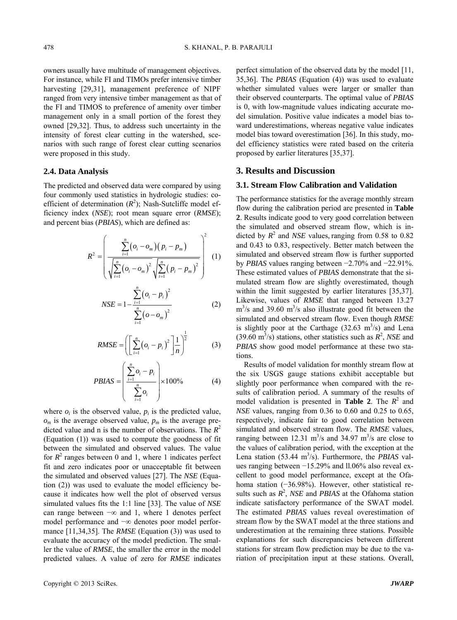owners usually have multitude of management objectives. For instance, while FI and TIMOs prefer intensive timber harvesting [29,31], management preference of NIPF ranged from very intensive timber management as that of the FI and TIMOS to preference of amenity over timber management only in a small portion of the forest they owned [\[29](#page-0-0),[32\]](#page-0-0). Thus, to address such uncertainty in the intensity of forest clear cutting in the watershed, scenarios with such range of forest clear cutting scenarios were proposed in this study.

#### **2.4. Data Analysis**

The predicted and observed data were compared by using four commonly used statistics in hydrologic studies: coefficient of determination  $(R^2)$ ; Nash-Sutcliffe model efficiency index (*NSE*); root mean square error (*RMSE*); and percent bias (*PBIAS*), which are defined as:

$$
R^{2} = \left(\frac{\sum_{i=1}^{n} (o_{i} - o_{m})(p_{i} - p_{m})}{\sqrt{\sum_{i=1}^{n} (o_{i} - o_{m})^{2}} \sqrt{\sum_{i=1}^{n} (p_{i} - p_{m})^{2}}}\right)^{2}
$$
(1)

$$
NSE = 1 - \frac{\sum_{i=1}^{n} (o_i - p_i)^2}{\sum_{i=1}^{n} (o - o_m)^2}
$$
 (2)

RMSE = 
$$
\left( \left[ \sum_{i=1}^{n} (o_i - p_i)^2 \right] \frac{1}{n} \right)^{\frac{1}{2}}
$$
 (3)

$$
PBIAS = \left(\frac{\sum_{i=1}^{n} o_i - p_i}{\sum_{i=1}^{n} o_i}\right) \times 100\% \tag{4}
$$

where  $o_i$  is the observed value,  $p_i$  is the predicted value,  $o_m$  is the average observed value,  $p_m$  is the average predicted value and n is the number of observations. The  $R^2$ (Equation (1)) was used to compute the goodness of fit between the simulated and observed values. The value for  $R^2$  ranges between 0 and 1, where 1 indicates perfect fit and zero indicates poor or unacceptable fit between the simulated and observed values [27]. The *NSE* (Equation (2)) was used to evaluate the model efficiency because it indicates how well the plot of observed versus simulated values fits the 1:1 line [33]. The value of *NSE* can range between −∞ and 1, where 1 denotes perfect model performance and −∞ denotes poor model performance [11,34,35]. The *RMSE* (Equation (3)) was used to evaluate the accuracy of the model prediction. The smaller the value of *RMSE*, the smaller the error in the model predicted values. A value of zero for *RMSE* indicates

perfect simulation of the observed data by the model [11, 35,36]. The *PBIAS* (Equation (4)) was used to evaluate whether simulated values were larger or smaller than their observed counterparts. The optimal value of *PBIAS* is 0, with low-magnitude values indicating accurate model simulation. Positive value indicates a model bias toward underestimations, whereas negative value indicates model bias toward overestimation [36]. In this study, model efficiency statistics were rated based on the criteria proposed by earlier literatures [35,37].

#### **3. Results and Discussion**

#### **3.1. Stream Flow Calibration and Validation**

The performance statistics for the average monthly stream flow during the calibration period are presented in **Table 2**. Results indicate good to very good correlation between the simulated and observed stream flow, which is indicted by  $R^2$  and *NSE* values, ranging from 0.58 to 0.82 and 0.43 to 0.83, respectively. Better match between the simulated and observed stream flow is further supported by *PBIAS* values ranging between −2.70% and −22.91%. These estimated values of *PBIAS* demonstrate that the simulated stream flow are slightly overestimated, though within the limit suggested by earlier literatures [35,37]. Likewise, values of *RMSE* that ranged between 13.27  $\text{m}^3$ /s and 39.60 m<sup>3</sup>/s also illustrate good fit between the simulated and observed stream flow. Even though *RMSE* is slightly poor at the Carthage  $(32.63 \text{ m}^3/\text{s})$  and Lena  $(39.60 \text{ m}^3/\text{s})$  stations, other statistics such as  $R^2$ , *NSE* and *PBIAS* show good model performance at these two stations.

Results of model validation for monthly stream flow at the six USGS gauge stations exhibit acceptable but slightly poor performance when compared with the results of calibration period. A summary of the results of model validation is presented in **Table 2**. The  $R^2$  and *NSE* values, ranging from 0.36 to 0.60 and 0.25 to 0.65, respectively, indicate fair to good correlation between simulated and observed stream flow. The *RMSE* values, ranging between 12.31  $\text{m}^3/\text{s}$  and 34.97  $\text{m}^3/\text{s}$  are close to the values of calibration period, with the exception at the Lena station (53.44 m<sup>3</sup>/s). Furthermore, the *PBIAS* values ranging between −15.29% and ll.06% also reveal excellent to good model performance, except at the Ofahoma station (−36.98%). However, other statistical results such as  $R^2$ , *NSE* and *PBIAS* at the Ofahoma station indicate satisfactory performance of the SWAT model. The estimated *PBIAS* values reveal overestimation of stream flow by the SWAT model at the three stations and underestimation at the remaining three stations. Possible explanations for such discrepancies between different stations for stream flow prediction may be due to the variation of precipitation input at these stations. Overall,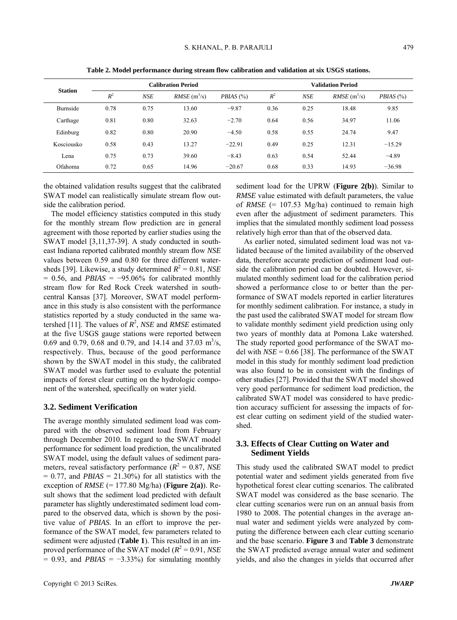|                 | <b>Calibration Period</b> |            |                            |             | <b>Validation Period</b> |            |                            |           |
|-----------------|---------------------------|------------|----------------------------|-------------|--------------------------|------------|----------------------------|-----------|
| <b>Station</b>  | $R^2$                     | <b>NSE</b> | $RMSE$ (m <sup>3</sup> /s) | $PBIAS$ (%) | $R^2$                    | <b>NSE</b> | $RMSE$ (m <sup>3</sup> /s) | PBIAS (%) |
| <b>Burnside</b> | 0.78                      | 0.75       | 13.60                      | $-9.87$     | 0.36                     | 0.25       | 18.48                      | 9.85      |
| Carthage        | 0.81                      | 0.80       | 32.63                      | $-2.70$     | 0.64                     | 0.56       | 34.97                      | 11.06     |
| Edinburg        | 0.82                      | 0.80       | 20.90                      | $-4.50$     | 0.58                     | 0.55       | 24.74                      | 9.47      |
| Kosciousko      | 0.58                      | 0.43       | 13.27                      | $-22.91$    | 0.49                     | 0.25       | 12.31                      | $-15.29$  |
| Lena            | 0.75                      | 0.73       | 39.60                      | $-8.43$     | 0.63                     | 0.54       | 52.44                      | $-4.89$   |
| Ofahoma         | 0.72                      | 0.65       | 14.96                      | $-20.67$    | 0.68                     | 0.33       | 14.93                      | $-36.98$  |

**Table 2. Model performance during stream flow calibration and validation at six USGS stations.** 

the obtained validation results suggest that the calibrated SWAT model can realistically simulate stream flow outside the calibration period.

The model efficiency statistics computed in this study for the monthly stream flow prediction are in general agreement with those reported by earlier studies using the SWAT model [3,11,37-39]. A study conducted in southeast Indiana reported calibrated monthly stream flow *NSE* values between 0.59 and 0.80 for three different watersheds [39]. Likewise, a study determined  $R^2 = 0.81$ , *NSE*  $= 0.56$ , and *PBIAS* = −95.06% for calibrated monthly stream flow for Red Rock Creek watershed in southcentral Kansas [37]. Moreover, SWAT model performance in this study is also consistent with the performance statistics reported by a study conducted in the same watershed [11]. The values of  $R^2$ , *NSE* and *RMSE* estimated at the five USGS gauge stations were reported between 0.69 and 0.79, 0.68 and 0.79, and 14.14 and 37.03 m<sup>3</sup>/s, respectively. Thus, because of the good performance shown by the SWAT model in this study, the calibrated SWAT model was further used to evaluate the potential impacts of forest clear cutting on the hydrologic component of the watershed, specifically on water yield.

#### **3.2. Sediment Verification**

The average monthly simulated sediment load was compared with the observed sediment load from February through December 2010. In regard to the SWAT model performance for sediment load prediction, the uncalibrated SWAT model, using the default values of sediment parameters, reveal satisfactory performance  $(R^2 = 0.87, NSE)$  $= 0.77$ , and *PBIAS*  $= 21.30\%$  for all statistics with the exception of *RMSE* (= 177.80 Mg/ha) (**Figure 2(a)**). Result shows that the sediment load predicted with default parameter has slightly underestimated sediment load compared to the observed data, which is shown by the positive value of *PBIAS*. In an effort to improve the performance of the SWAT model, few parameters related to sediment were adjusted (**Table 1**). This resulted in an improved performance of the SWAT model  $(R^2 = 0.91, NSE)$  $= 0.93$ , and *PBIAS*  $= -3.33\%$ ) for simulating monthly sediment load for the UPRW (**Figure 2(b)**). Similar to *RMSE* value estimated with default parameters, the value of *RMSE*  $(= 107.53 \text{ Mg/ha})$  continued to remain high even after the adjustment of sediment parameters. This implies that the simulated monthly sediment load possess relatively high error than that of the observed data.

As earlier noted, simulated sediment load was not validated because of the limited availability of the observed data, therefore accurate prediction of sediment load outside the calibration period can be doubted. However, simulated monthly sediment load for the calibration period showed a performance close to or better than the performance of SWAT models reported in earlier literatures for monthly sediment calibration. For instance, a study in the past used the calibrated SWAT model for stream flow to validate monthly sediment yield prediction using only two years of monthly data at Pomona Lake watershed. The study reported good performance of the SWAT model with  $NSE = 0.66$  [38]. The performance of the SWAT model in this study for monthly sediment load prediction was also found to be in consistent with the findings of other studies [27]. Provided that the SWAT model showed very good performance for sediment load prediction, the calibrated SWAT model was considered to have prediction accuracy sufficient for assessing the impacts of forest clear cutting on sediment yield of the studied watershed.

#### **3.3. Effects of Clear Cutting on Water and Sediment Yields**

This study used the calibrated SWAT model to predict potential water and sediment yields generated from five hypothetical forest clear cutting scenarios. The calibrated SWAT model was considered as the base scenario. The clear cutting scenarios were run on an annual basis from 1980 to 2008. The potential changes in the average annual water and sediment yields were analyzed by computing the difference between each clear cutting scenario and the base scenario. **Figure 3** and **Table 3** demonstrate the SWAT predicted average annual water and sediment yields, and also the changes in yields that occurred after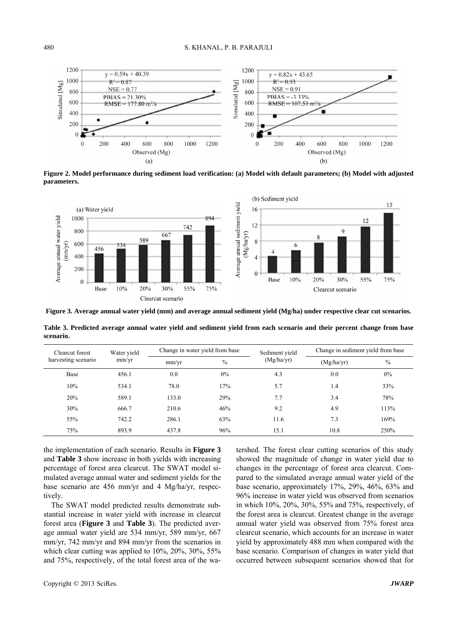

**Figure 2. Model performance during sediment load verification: (a) Model with default parameters; (b) Model with adjusted parameters.** 



**Figure 3. Average annual water yield (mm) and average annual sediment yield (Mg/ha) under respective clear cut scenarios. Table 3. Predicted average annual water yield and sediment yield from each scenario and their percent change from base** 

| Clearcut forest     | Water vield | Change in water yield from base |       | Sediment yield | Change in sediment yield from base |               |
|---------------------|-------------|---------------------------------|-------|----------------|------------------------------------|---------------|
| harvesting scenario | mm/yr       | mm/yr                           | $\%$  | (Mg/ha/yr)     | (Mg/ha/yr)                         | $\frac{0}{0}$ |
| Base                | 456.1       | 0.0                             | $0\%$ | 4.3            | 0.0                                | $0\%$         |
| 10%                 | 534.1       | 78.0                            | 17%   | 5.7            | 1.4                                | 33%           |
| 20%                 | 589.1       | 133.0                           | 29%   | 7.7            | 3.4                                | 78%           |
| 30%                 | 666.7       | 210.6                           | 46%   | 9.2            | 4.9                                | 113%          |
| 55%                 | 742.2       | 286.1                           | 63%   | 11.6           | 7.3                                | 169%          |
| 75%                 | 893.9       | 437.8                           | 96%   | 15.1           | 10.8                               | 250%          |

the implementation of each scenario. Results in **Figure 3**  and **Table 3** show increase in both yields with increasing percentage of forest area clearcut. The SWAT model simulated average annual water and sediment yields for the base scenario are 456 mm/yr and 4 Mg/ha/yr, respectively.

The SWAT model predicted results demonstrate substantial increase in water yield with increase in clearcut forest area (**Figure 3** and **Table 3**). The predicted average annual water yield are 534 mm/yr, 589 mm/yr, 667 mm/yr, 742 mm/yr and 894 mm/yr from the scenarios in which clear cutting was applied to 10%, 20%, 30%, 55% and 75%, respectively, of the total forest area of the watershed. The forest clear cutting scenarios of this study showed the magnitude of change in water yield due to changes in the percentage of forest area clearcut. Compared to the simulated average annual water yield of the base scenario, approximately 17%, 29%, 46%, 63% and 96% increase in water yield was observed from scenarios in which 10%, 20%, 30%, 55% and 75%, respectively, of the forest area is clearcut. Greatest change in the average annual water yield was observed from 75% forest area clearcut scenario, which accounts for an increase in water yield by approximately 488 mm when compared with the base scenario. Comparison of changes in water yield that occurred between subsequent scenarios showed that for

**scenario.**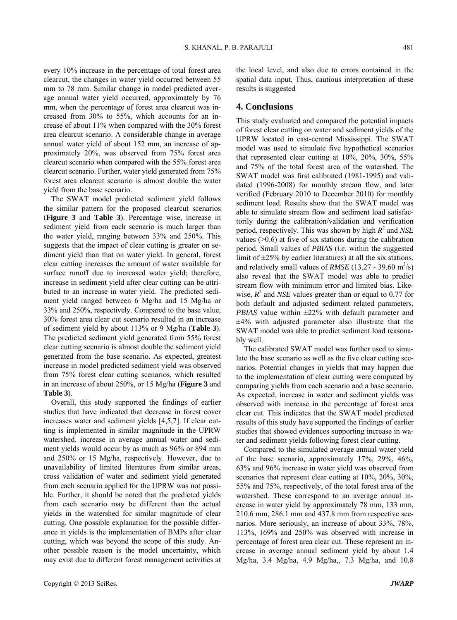every 10% increase in the percentage of total forest area clearcut, the changes in water yield occurred between 55 mm to 78 mm. Similar change in model predicted average annual water yield occurred, approximately by 76 mm, when the percentage of forest area clearcut was increased from 30% to 55%, which accounts for an increase of about 11% when compared with the 30% forest area clearcut scenario. A considerable change in average annual water yield of about 152 mm, an increase of approximately 20%, was observed from 75% forest area clearcut scenario when compared with the 55% forest area clearcut scenario. Further, water yield generated from 75% forest area clearcut scenario is almost double the water yield from the base scenario.

The SWAT model predicted sediment yield follows the similar pattern for the proposed clearcut scenarios (**Figure 3** and **Table 3**). Percentage wise, increase in sediment yield from each scenario is much larger than the water yield, ranging between 33% and 250%. This suggests that the impact of clear cutting is greater on sediment yield than that on water yield. In general, forest clear cutting increases the amount of water available for surface runoff due to increased water yield; therefore, increase in sediment yield after clear cutting can be attributed to an increase in water yield. The predicted sediment yield ranged between 6 Mg/ha and 15 Mg/ha or 33% and 250%, respectively. Compared to the base value, 30% forest area clear cut scenario resulted in an increase of sediment yield by about 113% or 9 Mg/ha (**Table 3**). The predicted sediment yield generated from 55% forest clear cutting scenario is almost double the sediment yield generated from the base scenario. As expected, greatest increase in model predicted sediment yield was observed from 75% forest clear cutting scenarios, which resulted in an increase of about 250%, or 15 Mg/ha (**Figure 3** and **Table 3**).

Overall, this study supported the findings of earlier studies that have indicated that decrease in forest cover increases water and sediment yields [4,5,7]. If clear cutting is implemented in similar magnitude in the UPRW watershed, increase in average annual water and sediment yields would occur by as much as 96% or 894 mm and 250% or 15 Mg/ha, respectively. However, due to unavailability of limited literatures from similar areas, cross validation of water and sediment yield generated from each scenario applied for the UPRW was not possible. Further, it should be noted that the predicted yields from each scenario may be different than the actual yields in the watershed for similar magnitude of clear cutting. One possible explanation for the possible difference in yields is the implementation of BMPs after clear cutting, which was beyond the scope of this study. Another possible reason is the model uncertainty, which may exist due to different forest management activities at the local level, and also due to errors contained in the spatial data input. Thus, cautious interpretation of these results is suggested

#### **4. Conclusions**

This study evaluated and compared the potential impacts of forest clear cutting on water and sediment yields of the UPRW located in east-central Mississippi. The SWAT model was used to simulate five hypothetical scenarios that represented clear cutting at 10%, 20%, 30%, 55% and 75% of the total forest area of the watershed. The SWAT model was first calibrated (1981-1995) and validated (1996-2008) for monthly stream flow, and later verified (February 2010 to December 2010) for monthly sediment load. Results show that the SWAT model was able to simulate stream flow and sediment load satisfactorily during the calibration/validation and verification period, respectively. This was shown by high *R*<sup>2</sup> and *NSE* values  $(0.6)$  at five of six stations during the calibration period. Small values of *PBIAS* (*i.e*. within the suggested limit of  $\pm 25\%$  by earlier literatures) at all the six stations, and relatively small values of *RMSE* (13.27 - 39.60 m<sup>3</sup>/s) also reveal that the SWAT model was able to predict stream flow with minimum error and limited bias. Likewise,  $R^2$  and *NSE* values greater than or equal to 0.77 for both default and adjusted sediment related parameters, *PBIAS* value within  $\pm 22\%$  with default parameter and  $\pm 4\%$  with adjusted parameter also illustrate that the SWAT model was able to predict sediment load reasonably well.

The calibrated SWAT model was further used to simulate the base scenario as well as the five clear cutting scenarios. Potential changes in yields that may happen due to the implementation of clear cutting were computed by comparing yields from each scenario and a base scenario. As expected, increase in water and sediment yields was observed with increase in the percentage of forest area clear cut. This indicates that the SWAT model predicted results of this study have supported the findings of earlier studies that showed evidences supporting increase in water and sediment yields following forest clear cutting.

Compared to the simulated average annual water yield of the base scenario, approximately 17%, 29%, 46%, 63% and 96% increase in water yield was observed from scenarios that represent clear cutting at 10%, 20%, 30%, 55% and 75%, respectively, of the total forest area of the watershed. These correspond to an average annual increase in water yield by approximately 78 mm, 133 mm, 210.6 mm, 286.1 mm and 437.8 mm from respective scenarios. More seriously, an increase of about 33%, 78%, 113%, 169% and 250% was observed with increase in percentage of forest area clear cut. These represent an increase in average annual sediment yield by about 1.4 Mg/ha, 3.4 Mg/ha, 4.9 Mg/ha,, 7.3 Mg/ha, and 10.8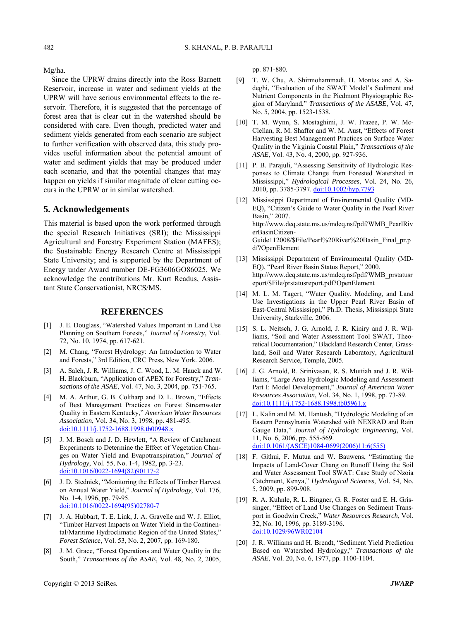Mg/ha.

Since the UPRW drains directly into the Ross Barnett Reservoir, increase in water and sediment yields at the UPRW will have serious environmental effects to the reservoir. Therefore, it is suggested that the percentage of forest area that is clear cut in the watershed should be considered with care. Even though, predicted water and sediment yields generated from each scenario are subject to further verification with observed data, this study provides useful information about the potential amount of water and sediment yields that may be produced under each scenario, and that the potential changes that may happen on yields if similar magnitude of clear cutting occurs in the UPRW or in similar watershed.

### **5. Acknowledgements**

This material is based upon the work performed through the special Research Initiatives (SRI); the Mississippi Agricultural and Forestry Experiment Station (MAFES); the Sustainable Energy Research Centre at Mississippi State University; and is supported by the Department of Energy under Award number DE-FG3606GO86025. We acknowledge the contributions Mr. Kurt Readus, Assistant State Conservationist, NRCS/MS.

#### **REFERENCES**

- [1] J. E. Douglass, "Watershed Values Important in Land Use Planning on Southern Forests," *Journal of Forestry*, Vol. 72, No. 10, 1974, pp. 617-621.
- [2] M. Chang, "Forest Hydrology: An Introduction to Water and Forests," 3rd Edition, CRC Press, New York. 2006.
- [3] A. Saleh, J. R. Williams, J. C. Wood, L. M. Hauck and W. H. Blackburn, "Application of APEX for Forestry," *Transactions of the ASAE*, Vol. 47, No. 3, 2004, pp. 751-765.
- [4] M. A. Arthur, G. B. Coltharp and D. L. Brown, "Effects of Best Management Practices on Forest Streamwater Quality in Eastern Kentucky," *American Water Resources Association*, Vol. 34, No. 3, 1998, pp. 481-495. [doi:10.1111/j.1752-1688.1998.tb00948.x](http://dx.doi.org/10.1111/j.1752-1688.1998.tb00948.x)
- [5] J. M. Bosch and J. D. Hewlett, "A Review of Catchment Experiments to Determine the Effect of Vegetation Changes on Water Yield and Evapotranspiration," *Journal of Hydrology*, Vol. 55, No. 1-4, 1982, pp. 3-23. [doi:10.1016/0022-1694\(82\)90117-2](http://dx.doi.org/10.1016/0022-1694(82)90117-2)
- [6] J. D. Stednick, "Monitoring the Effects of Timber Harvest on Annual Water Yield," *Journal of Hydrology*, Vol. 176, No. 1-4, 1996, pp. 79-95. [doi:10.1016/0022-1694\(95\)02780-7](http://dx.doi.org/10.1016/0022-1694(95)02780-7)
- [7] J. A. Hubbart, T. E. Link, J. A. Gravelle and W. J. Elliot, "Timber Harvest Impacts on Water Yield in the Continental/Maritime Hydroclimatic Region of the United States," *Forest Science*, Vol. 53, No. 2, 2007, pp. 169-180.
- [8] J. M. Grace, "Forest Operations and Water Quality in the South," *Transactions of the ASAE*, Vol. 48, No. 2, 2005,

pp. 871-880.

- [9] T. W. Chu, A. Shirmohammadi, H. Montas and A. Sadeghi, "Evaluation of the SWAT Model's Sediment and Nutrient Components in the Piedmont Physiographic Region of Maryland," *Transactions of the ASABE*, Vol. 47, No. 5, 2004, pp. 1523-1538.
- [10] T. M. Wynn, S. Mostaghimi, J. W. Frazee, P. W. Mc-Clellan, R. M. Shaffer and W. M. Aust, "Effects of Forest Harvesting Best Management Practices on Surface Water Quality in the Virginia Coastal Plain," *Transactions of the ASAE*, Vol. 43, No. 4, 2000, pp. 927-936.
- [11] P. B. Parajuli, "Assessing Sensitivity of Hydrologic Responses to Climate Change from Forested Watershed in Mississippi," *Hydrological Processes*, Vol. 24, No. 26, 2010, pp. 3785-3797. [doi:10.1002/hyp.7793](http://dx.doi.org/10.1002/hyp.7793)
- [12] Mississippi Department of Environmental Quality (MD-EQ), "Citizen's Guide to Water Quality in the Pearl River Basin," 2007. http://www.deq.state.ms.us/mdeq.nsf/pdf/WMB\_PearlRiv erBasinCitizen-Guide112008/\$File/Pearl%20River%20Basin\_Final\_pr.p df?OpenElement
- [13] Mississippi Department of Environmental Quality (MD-EQ), "Pearl River Basin Status Report," 2000. http://www.deq.state.ms.us/mdeq.nsf/pdf/WMB\_prstatusr eport/\$File/prstatusreport.pdf?OpenElement
- [14] M. L. M. Tagert, "Water Quality, Modeling, and Land Use Investigations in the Upper Pearl River Basin of East-Central Mississippi," Ph.D. Thesis, Mississippi State University, Starkville, 2006.
- [15] S. L. Neitsch, J. G. Arnold, J. R. Kiniry and J. R. Williams, "Soil and Water Assessment Tool SWAT, Theoretical Documentation," Blackland Research Center, Grassland, Soil and Water Research Laboratory, Agricultural Research Service, Temple, 2005.
- [16] J. G. Arnold, R. Srinivasan, R. S. Muttiah and J. R. Williams, "Large Area Hydrologic Modeling and Assessment Part I: Model Development," *Journal of American Water Resources Association*, Vol. 34, No. 1, 1998, pp. 73-89. [doi:10.1111/j.1752-1688.1998.tb05961.x](http://dx.doi.org/10.1111/j.1752-1688.1998.tb05961.x)
- [17] L. Kalin and M. M. Hantush, "Hydrologic Modeling of an Eastern Pennsylnania Watershed with NEXRAD and Rain Gauge Data," *Journal of Hydrologic Engineering*, Vol. 11, No. 6, 2006, pp. 555-569. [doi:10.1061/\(ASCE\)1084-0699\(2006\)11:6\(555\)](http://dx.doi.org/10.1061/(ASCE)1084-0699(2006)11:6(555))
- [18] F. Githui, F. Mutua and W. Bauwens, "Estimating the Impacts of Land-Cover Chang on Runoff Using the Soil and Water Assessment Tool SWAT: Case Study of Nzoia Catchment, Kenya," *Hydrological Sciences*, Vol. 54, No. 5, 2009, pp. 899-908.
- [19] R. A. Kuhnle, R. L. Bingner, G. R. Foster and E. H. Grissinger, "Effect of Land Use Changes on Sediment Transport in Goodwin Creek," *Water Resources Research*, Vol. 32, No. 10, 1996, pp. 3189-3196. [doi:10.1029/96WR02104](http://dx.doi.org/10.1029/96WR02104)
- [20] J. R. Williams and H. Brendt, "Sediment Yield Prediction Based on Watershed Hydrology," *Transactions of the ASAE*, Vol. 20, No. 6, 1977, pp. 1100-1104.